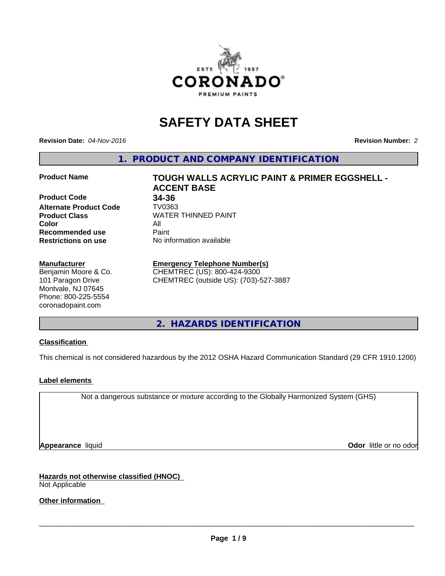

# **SAFETY DATA SHEET**

**Revision Date:** *04-Nov-2016* **Revision Number:** *2*

**1. PRODUCT AND COMPANY IDENTIFICATION**

**Product Code 34-36**

**Alternate Product Code TV0363**<br>Product Class WATER **Color** All **Recommended use** Paint<br> **Restrictions on use** No inf

#### **Manufacturer**

Benjamin Moore & Co. 101 Paragon Drive Montvale, NJ 07645 Phone: 800-225-5554 coronadopaint.com

**Product Name TOUGH WALLS ACRYLIC PAINT & PRIMER EGGSHELL - ACCENT BASE Product Class** WATER THINNED PAINT<br>
Color **No information available** 

# **Emergency Telephone Number(s)**

CHEMTREC (US): 800-424-9300 CHEMTREC (outside US): (703)-527-3887

**2. HAZARDS IDENTIFICATION**

# **Classification**

This chemical is not considered hazardous by the 2012 OSHA Hazard Communication Standard (29 CFR 1910.1200)

# **Label elements**

Not a dangerous substance or mixture according to the Globally Harmonized System (GHS)

**Appearance** liquid **Odor in the original of the original of the original of the original of the original of the original of the original of the original of the original of the original of the original of the original of t** 

**Hazards not otherwise classified (HNOC)** Not Applicable

**Other information**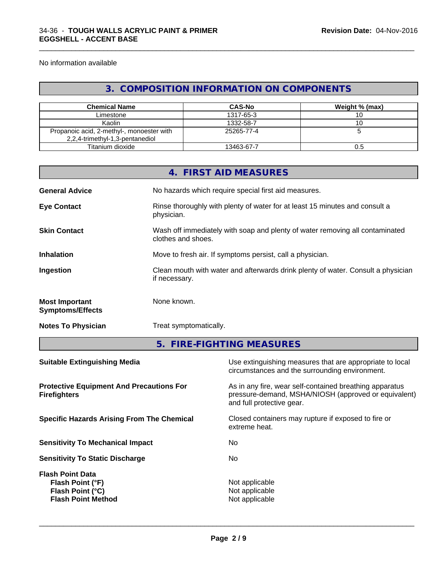No information available

# **3. COMPOSITION INFORMATION ON COMPONENTS**

\_\_\_\_\_\_\_\_\_\_\_\_\_\_\_\_\_\_\_\_\_\_\_\_\_\_\_\_\_\_\_\_\_\_\_\_\_\_\_\_\_\_\_\_\_\_\_\_\_\_\_\_\_\_\_\_\_\_\_\_\_\_\_\_\_\_\_\_\_\_\_\_\_\_\_\_\_\_\_\_\_\_\_\_\_\_\_\_\_\_\_\_\_

| <b>Chemical Name</b>                      | <b>CAS-No</b> | Weight % (max) |
|-------------------------------------------|---------------|----------------|
| Limestone                                 | 1317-65-3     |                |
| Kaolin                                    | 1332-58-7     |                |
| Propanoic acid, 2-methyl-, monoester with | 25265-77-4    |                |
| 2,2,4-trimethyl-1,3-pentanediol           |               |                |
| Titanium dioxide                          | 13463-67-7    | υ.c            |

|                                                  | 4. FIRST AID MEASURES                                                                              |
|--------------------------------------------------|----------------------------------------------------------------------------------------------------|
| <b>General Advice</b>                            | No hazards which require special first aid measures.                                               |
| <b>Eye Contact</b>                               | Rinse thoroughly with plenty of water for at least 15 minutes and consult a<br>physician.          |
| <b>Skin Contact</b>                              | Wash off immediately with soap and plenty of water removing all contaminated<br>clothes and shoes. |
| <b>Inhalation</b>                                | Move to fresh air. If symptoms persist, call a physician.                                          |
| Ingestion                                        | Clean mouth with water and afterwards drink plenty of water. Consult a physician<br>if necessary.  |
| <b>Most Important</b><br><b>Symptoms/Effects</b> | None known.                                                                                        |
| <b>Notes To Physician</b>                        | Treat symptomatically.                                                                             |
|                                                  |                                                                                                    |

**5. FIRE-FIGHTING MEASURES**

| Use extinguishing measures that are appropriate to local<br>circumstances and the surrounding environment.                                   |
|----------------------------------------------------------------------------------------------------------------------------------------------|
| As in any fire, wear self-contained breathing apparatus<br>pressure-demand, MSHA/NIOSH (approved or equivalent)<br>and full protective gear. |
| Closed containers may rupture if exposed to fire or<br>extreme heat.                                                                         |
| No.                                                                                                                                          |
| No.                                                                                                                                          |
| Not applicable<br>Not applicable<br>Not applicable                                                                                           |
|                                                                                                                                              |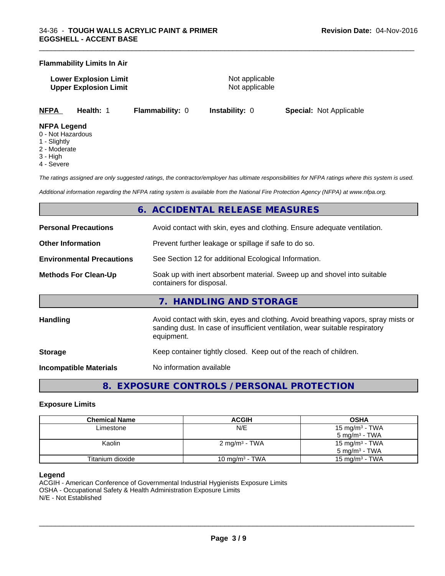### **Flammability Limits In Air**

**Lower Explosion Limit Not applicable** Not applicable **Upper Explosion Limit** Not applicable

\_\_\_\_\_\_\_\_\_\_\_\_\_\_\_\_\_\_\_\_\_\_\_\_\_\_\_\_\_\_\_\_\_\_\_\_\_\_\_\_\_\_\_\_\_\_\_\_\_\_\_\_\_\_\_\_\_\_\_\_\_\_\_\_\_\_\_\_\_\_\_\_\_\_\_\_\_\_\_\_\_\_\_\_\_\_\_\_\_\_\_\_\_

**NFPA Health:** 1 **Flammability:** 0 **Instability:** 0 **Special:** Not Applicable

### **NFPA Legend**

- 0 Not Hazardous
- 1 Slightly
- 2 Moderate
- 3 High
- 4 Severe

*The ratings assigned are only suggested ratings, the contractor/employer has ultimate responsibilities for NFPA ratings where this system is used.*

*Additional information regarding the NFPA rating system is available from the National Fire Protection Agency (NFPA) at www.nfpa.org.*

# **6. ACCIDENTAL RELEASE MEASURES**

| <b>Personal Precautions</b>      | Avoid contact with skin, eyes and clothing. Ensure adequate ventilation.                                                                                                         |
|----------------------------------|----------------------------------------------------------------------------------------------------------------------------------------------------------------------------------|
| <b>Other Information</b>         | Prevent further leakage or spillage if safe to do so.                                                                                                                            |
| <b>Environmental Precautions</b> | See Section 12 for additional Ecological Information.                                                                                                                            |
| <b>Methods For Clean-Up</b>      | Soak up with inert absorbent material. Sweep up and shovel into suitable<br>containers for disposal.                                                                             |
|                                  | 7. HANDLING AND STORAGE                                                                                                                                                          |
| Handling                         | Avoid contact with skin, eyes and clothing. Avoid breathing vapors, spray mists or<br>sanding dust. In case of insufficient ventilation, wear suitable respiratory<br>equipment. |
| <b>Storage</b>                   | Keep container tightly closed. Keep out of the reach of children.                                                                                                                |
| <b>Incompatible Materials</b>    | No information available                                                                                                                                                         |
|                                  |                                                                                                                                                                                  |

# **8. EXPOSURE CONTROLS / PERSONAL PROTECTION**

### **Exposure Limits**

| <b>Chemical Name</b> | <b>ACGIH</b>               | <b>OSHA</b>              |
|----------------------|----------------------------|--------------------------|
| Limestone            | N/E                        | 15 mg/m $3$ - TWA        |
|                      |                            | $5 \text{ mg/m}^3$ - TWA |
| Kaolin               | 2 mg/m <sup>3</sup> - TWA  | 15 mg/m $3$ - TWA        |
|                      |                            | $5 \text{ ma/m}^3$ - TWA |
| Titanium dioxide     | 10 mg/m <sup>3</sup> - TWA | 15 mg/m $3$ - TWA        |

#### **Legend**

ACGIH - American Conference of Governmental Industrial Hygienists Exposure Limits OSHA - Occupational Safety & Health Administration Exposure Limits N/E - Not Established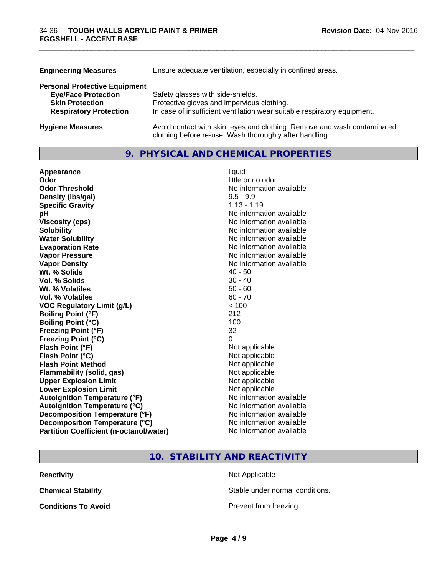| <b>Engineering Measures</b>          | Ensure adequate ventilation, especially in confined areas.                                                                          |  |
|--------------------------------------|-------------------------------------------------------------------------------------------------------------------------------------|--|
| <b>Personal Protective Equipment</b> |                                                                                                                                     |  |
| <b>Eye/Face Protection</b>           | Safety glasses with side-shields.                                                                                                   |  |
| <b>Skin Protection</b>               | Protective gloves and impervious clothing.                                                                                          |  |
| <b>Respiratory Protection</b>        | In case of insufficient ventilation wear suitable respiratory equipment.                                                            |  |
| <b>Hygiene Measures</b>              | Avoid contact with skin, eyes and clothing. Remove and wash contaminated<br>clothing before re-use. Wash thoroughly after handling. |  |

# **9. PHYSICAL AND CHEMICAL PROPERTIES**

\_\_\_\_\_\_\_\_\_\_\_\_\_\_\_\_\_\_\_\_\_\_\_\_\_\_\_\_\_\_\_\_\_\_\_\_\_\_\_\_\_\_\_\_\_\_\_\_\_\_\_\_\_\_\_\_\_\_\_\_\_\_\_\_\_\_\_\_\_\_\_\_\_\_\_\_\_\_\_\_\_\_\_\_\_\_\_\_\_\_\_\_\_

| Appearance                                     | liquid                   |
|------------------------------------------------|--------------------------|
| Odor                                           | little or no odor        |
| <b>Odor Threshold</b>                          | No information available |
| Density (Ibs/gal)                              | $9.5 - 9.9$              |
| <b>Specific Gravity</b>                        | $1.13 - 1.19$            |
| рH                                             | No information available |
| <b>Viscosity (cps)</b>                         | No information available |
| <b>Solubility</b>                              | No information available |
| <b>Water Solubility</b>                        | No information available |
| <b>Evaporation Rate</b>                        | No information available |
| <b>Vapor Pressure</b>                          | No information available |
| <b>Vapor Density</b>                           | No information available |
| Wt. % Solids                                   | $40 - 50$                |
| Vol. % Solids                                  | $30 - 40$                |
| Wt. % Volatiles                                | $50 - 60$                |
| <b>Vol. % Volatiles</b>                        | $60 - 70$                |
| <b>VOC Regulatory Limit (g/L)</b>              | < 100                    |
| <b>Boiling Point (°F)</b>                      | 212                      |
| <b>Boiling Point (°C)</b>                      | 100                      |
| <b>Freezing Point (°F)</b>                     | 32                       |
| <b>Freezing Point (°C)</b>                     | $\Omega$                 |
| Flash Point (°F)                               | Not applicable           |
| Flash Point (°C)                               | Not applicable           |
| <b>Flash Point Method</b>                      | Not applicable           |
| <b>Flammability (solid, gas)</b>               | Not applicable           |
| <b>Upper Explosion Limit</b>                   | Not applicable           |
| <b>Lower Explosion Limit</b>                   | Not applicable           |
| <b>Autoignition Temperature (°F)</b>           | No information available |
| <b>Autoignition Temperature (°C)</b>           | No information available |
| Decomposition Temperature (°F)                 | No information available |
| Decomposition Temperature (°C)                 | No information available |
| <b>Partition Coefficient (n-octanol/water)</b> | No information available |

# **10. STABILITY AND REACTIVITY**

**Reactivity** Not Applicable

**Chemical Stability Chemical Stability** Stable under normal conditions.

**Conditions To Avoid Prevent from freezing.**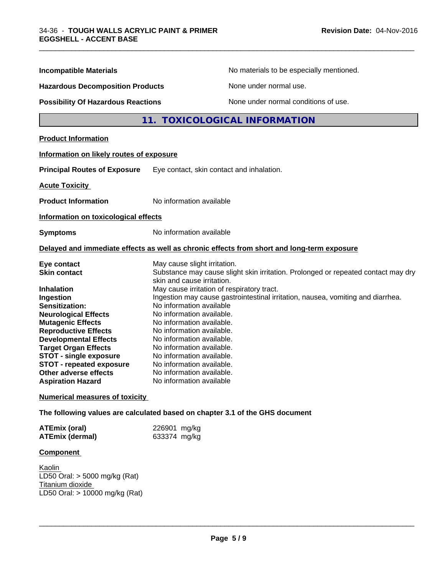| <b>Incompatible Materials</b>                                                                                                                                                                                                                                                                                 | No materials to be especially mentioned.                                                                                                                                                                                                                                                                                                                                        |  |
|---------------------------------------------------------------------------------------------------------------------------------------------------------------------------------------------------------------------------------------------------------------------------------------------------------------|---------------------------------------------------------------------------------------------------------------------------------------------------------------------------------------------------------------------------------------------------------------------------------------------------------------------------------------------------------------------------------|--|
| <b>Hazardous Decomposition Products</b>                                                                                                                                                                                                                                                                       | None under normal use.                                                                                                                                                                                                                                                                                                                                                          |  |
| <b>Possibility Of Hazardous Reactions</b>                                                                                                                                                                                                                                                                     | None under normal conditions of use.                                                                                                                                                                                                                                                                                                                                            |  |
|                                                                                                                                                                                                                                                                                                               | <b>TOXICOLOGICAL INFORMATION</b><br>11.                                                                                                                                                                                                                                                                                                                                         |  |
| <b>Product Information</b>                                                                                                                                                                                                                                                                                    |                                                                                                                                                                                                                                                                                                                                                                                 |  |
| Information on likely routes of exposure                                                                                                                                                                                                                                                                      |                                                                                                                                                                                                                                                                                                                                                                                 |  |
| <b>Principal Routes of Exposure</b>                                                                                                                                                                                                                                                                           | Eye contact, skin contact and inhalation.                                                                                                                                                                                                                                                                                                                                       |  |
| <b>Acute Toxicity</b>                                                                                                                                                                                                                                                                                         |                                                                                                                                                                                                                                                                                                                                                                                 |  |
| <b>Product Information</b>                                                                                                                                                                                                                                                                                    | No information available                                                                                                                                                                                                                                                                                                                                                        |  |
| Information on toxicological effects                                                                                                                                                                                                                                                                          |                                                                                                                                                                                                                                                                                                                                                                                 |  |
| <b>Symptoms</b>                                                                                                                                                                                                                                                                                               | No information available                                                                                                                                                                                                                                                                                                                                                        |  |
|                                                                                                                                                                                                                                                                                                               | Delayed and immediate effects as well as chronic effects from short and long-term exposure                                                                                                                                                                                                                                                                                      |  |
| Eye contact<br><b>Skin contact</b><br><b>Inhalation</b>                                                                                                                                                                                                                                                       | May cause slight irritation.<br>Substance may cause slight skin irritation. Prolonged or repeated contact may dry<br>skin and cause irritation.<br>May cause irritation of respiratory tract.                                                                                                                                                                                   |  |
| Ingestion<br>Sensitization:<br><b>Neurological Effects</b><br><b>Mutagenic Effects</b><br><b>Reproductive Effects</b><br><b>Developmental Effects</b><br><b>Target Organ Effects</b><br><b>STOT - single exposure</b><br><b>STOT - repeated exposure</b><br>Other adverse effects<br><b>Aspiration Hazard</b> | Ingestion may cause gastrointestinal irritation, nausea, vomiting and diarrhea.<br>No information available<br>No information available.<br>No information available.<br>No information available.<br>No information available.<br>No information available.<br>No information available.<br>No information available.<br>No information available.<br>No information available |  |

\_\_\_\_\_\_\_\_\_\_\_\_\_\_\_\_\_\_\_\_\_\_\_\_\_\_\_\_\_\_\_\_\_\_\_\_\_\_\_\_\_\_\_\_\_\_\_\_\_\_\_\_\_\_\_\_\_\_\_\_\_\_\_\_\_\_\_\_\_\_\_\_\_\_\_\_\_\_\_\_\_\_\_\_\_\_\_\_\_\_\_\_\_

**Numerical measures of toxicity**

**The following values are calculated based on chapter 3.1 of the GHS document**

| <b>ATEmix (oral)</b>   | 226901 mg/kg |
|------------------------|--------------|
| <b>ATEmix (dermal)</b> | 633374 mg/kg |

# **Component**

Kaolin LD50 Oral: > 5000 mg/kg (Rat) Titanium dioxide LD50 Oral: > 10000 mg/kg (Rat)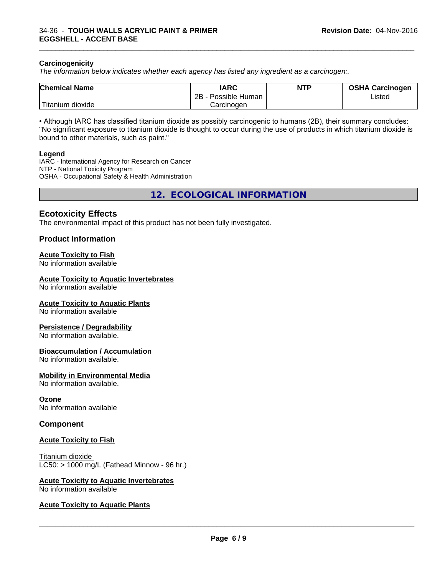#### **Carcinogenicity**

*The information below indicateswhether each agency has listed any ingredient as a carcinogen:.*

| <b>Chemical Name</b>     | <b>IARC</b>          | <b>NTP</b> | <b>OSHA Carcinogen</b> |
|--------------------------|----------------------|------------|------------------------|
|                          | 2B<br>Possible Human |            | Listed                 |
| $-1$<br>Fitanium dioxide | Carcinogen           |            |                        |

\_\_\_\_\_\_\_\_\_\_\_\_\_\_\_\_\_\_\_\_\_\_\_\_\_\_\_\_\_\_\_\_\_\_\_\_\_\_\_\_\_\_\_\_\_\_\_\_\_\_\_\_\_\_\_\_\_\_\_\_\_\_\_\_\_\_\_\_\_\_\_\_\_\_\_\_\_\_\_\_\_\_\_\_\_\_\_\_\_\_\_\_\_

• Although IARC has classified titanium dioxide as possibly carcinogenic to humans (2B), their summary concludes: "No significant exposure to titanium dioxide is thought to occur during the use of products in which titanium dioxide is bound to other materials, such as paint."

#### **Legend**

IARC - International Agency for Research on Cancer NTP - National Toxicity Program OSHA - Occupational Safety & Health Administration

**12. ECOLOGICAL INFORMATION**

# **Ecotoxicity Effects**

The environmental impact of this product has not been fully investigated.

#### **Product Information**

#### **Acute Toxicity to Fish**

No information available

#### **Acute Toxicity to Aquatic Invertebrates**

No information available

#### **Acute Toxicity to Aquatic Plants**

No information available

#### **Persistence / Degradability**

No information available.

#### **Bioaccumulation / Accumulation**

No information available.

#### **Mobility in Environmental Media**

No information available.

#### **Ozone**

No information available

#### **Component**

#### **Acute Toxicity to Fish**

Titanium dioxide  $LC50:$  > 1000 mg/L (Fathead Minnow - 96 hr.)

#### **Acute Toxicity to Aquatic Invertebrates**

No information available

#### **Acute Toxicity to Aquatic Plants**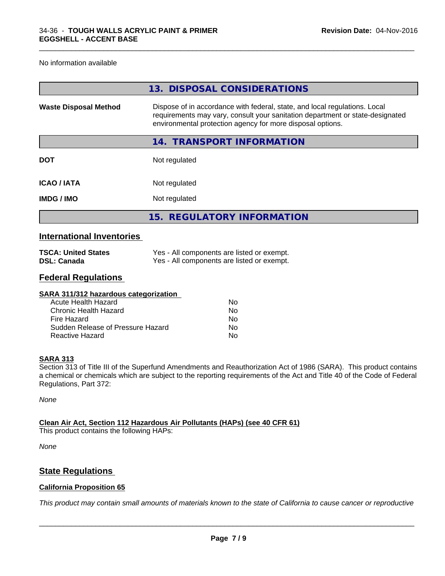No information available

|                              | 13. DISPOSAL CONSIDERATIONS                                                                                                                                                                                               |
|------------------------------|---------------------------------------------------------------------------------------------------------------------------------------------------------------------------------------------------------------------------|
| <b>Waste Disposal Method</b> | Dispose of in accordance with federal, state, and local regulations. Local<br>requirements may vary, consult your sanitation department or state-designated<br>environmental protection agency for more disposal options. |
|                              | 14. TRANSPORT INFORMATION                                                                                                                                                                                                 |
| <b>DOT</b>                   | Not regulated                                                                                                                                                                                                             |
| <b>ICAO / IATA</b>           | Not regulated                                                                                                                                                                                                             |
| <b>IMDG/IMO</b>              | Not regulated                                                                                                                                                                                                             |
|                              | 15. REGULATORY INFORMATION                                                                                                                                                                                                |
|                              |                                                                                                                                                                                                                           |

\_\_\_\_\_\_\_\_\_\_\_\_\_\_\_\_\_\_\_\_\_\_\_\_\_\_\_\_\_\_\_\_\_\_\_\_\_\_\_\_\_\_\_\_\_\_\_\_\_\_\_\_\_\_\_\_\_\_\_\_\_\_\_\_\_\_\_\_\_\_\_\_\_\_\_\_\_\_\_\_\_\_\_\_\_\_\_\_\_\_\_\_\_

# **International Inventories**

| <b>TSCA: United States</b> | Yes - All components are listed or exempt. |
|----------------------------|--------------------------------------------|
| <b>DSL: Canada</b>         | Yes - All components are listed or exempt. |

# **Federal Regulations**

| SARA 311/312 hazardous categorization |    |  |
|---------------------------------------|----|--|
| Acute Health Hazard                   | Nο |  |
| Chronic Health Hazard                 | No |  |
| Fire Hazard                           | Nο |  |
| Sudden Release of Pressure Hazard     | Nο |  |
| Reactive Hazard                       | Nο |  |
|                                       |    |  |

#### **SARA 313**

Section 313 of Title III of the Superfund Amendments and Reauthorization Act of 1986 (SARA). This product contains a chemical or chemicals which are subject to the reporting requirements of the Act and Title 40 of the Code of Federal Regulations, Part 372:

*None*

**Clean Air Act,Section 112 Hazardous Air Pollutants (HAPs) (see 40 CFR 61)**

This product contains the following HAPs:

*None*

# **State Regulations**

#### **California Proposition 65**

This product may contain small amounts of materials known to the state of California to cause cancer or reproductive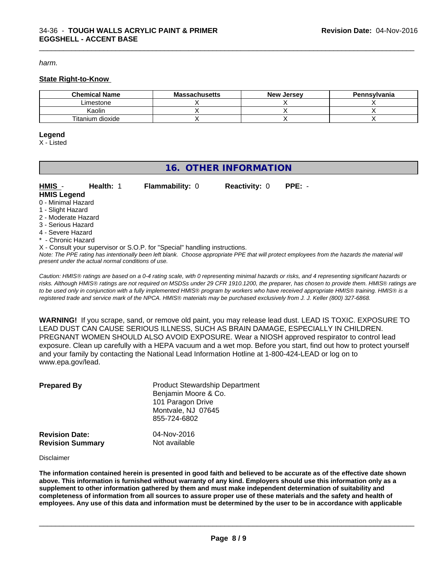*harm.*

#### **State Right-to-Know**

| <b>Chemical Name</b> | <b>Massachusetts</b> | . Jersev<br>New | Pennsylvania |
|----------------------|----------------------|-----------------|--------------|
| _imestone            |                      |                 |              |
| Kaolin               |                      |                 |              |
| Titanium dioxide     |                      |                 |              |

\_\_\_\_\_\_\_\_\_\_\_\_\_\_\_\_\_\_\_\_\_\_\_\_\_\_\_\_\_\_\_\_\_\_\_\_\_\_\_\_\_\_\_\_\_\_\_\_\_\_\_\_\_\_\_\_\_\_\_\_\_\_\_\_\_\_\_\_\_\_\_\_\_\_\_\_\_\_\_\_\_\_\_\_\_\_\_\_\_\_\_\_\_

#### **Legend**

X - Listed

# **16. OTHER INFORMATION**

| HMIS -              | <b>Health: 1</b> | <b>Flammability: 0</b>                                                     | <b>Reactivity: 0</b> | $PPE: -$ |
|---------------------|------------------|----------------------------------------------------------------------------|----------------------|----------|
| <b>HMIS Legend</b>  |                  |                                                                            |                      |          |
| 0 - Minimal Hazard  |                  |                                                                            |                      |          |
| 1 - Slight Hazard   |                  |                                                                            |                      |          |
| 2 - Moderate Hazard |                  |                                                                            |                      |          |
| 3 - Serious Hazard  |                  |                                                                            |                      |          |
| 4 - Severe Hazard   |                  |                                                                            |                      |          |
| * - Chronic Hazard  |                  |                                                                            |                      |          |
|                     |                  | X - Consult your supervisor or S.O.P. for "Special" handling instructions. |                      |          |

*Note: The PPE rating has intentionally been left blank. Choose appropriate PPE that will protect employees from the hazards the material will present under the actual normal conditions of use.*

*Caution: HMISÒ ratings are based on a 0-4 rating scale, with 0 representing minimal hazards or risks, and 4 representing significant hazards or risks. Although HMISÒ ratings are not required on MSDSs under 29 CFR 1910.1200, the preparer, has chosen to provide them. HMISÒ ratings are to be used only in conjunction with a fully implemented HMISÒ program by workers who have received appropriate HMISÒ training. HMISÒ is a registered trade and service mark of the NPCA. HMISÒ materials may be purchased exclusively from J. J. Keller (800) 327-6868.*

**WARNING!** If you scrape, sand, or remove old paint, you may release lead dust. LEAD IS TOXIC. EXPOSURE TO LEAD DUST CAN CAUSE SERIOUS ILLNESS, SUCH AS BRAIN DAMAGE, ESPECIALLY IN CHILDREN. PREGNANT WOMEN SHOULD ALSO AVOID EXPOSURE.Wear a NIOSH approved respirator to control lead exposure. Clean up carefully with a HEPA vacuum and a wet mop. Before you start, find out how to protect yourself and your family by contacting the National Lead Information Hotline at 1-800-424-LEAD or log on to www.epa.gov/lead.

| <b>Prepared By</b>                               | <b>Product Stewardship Department</b><br>Benjamin Moore & Co.<br>101 Paragon Drive<br>Montvale, NJ 07645<br>855-724-6802 |  |
|--------------------------------------------------|--------------------------------------------------------------------------------------------------------------------------|--|
| <b>Revision Date:</b><br><b>Revision Summary</b> | 04-Nov-2016<br>Not available                                                                                             |  |

Disclaimer

The information contained herein is presented in good faith and believed to be accurate as of the effective date shown above. This information is furnished without warranty of any kind. Employers should use this information only as a **supplement to other information gathered by them and must make independent determination of suitability and** completeness of information from all sources to assure proper use of these materials and the safety and health of employees. Any use of this data and information must be determined by the user to be in accordance with applicable